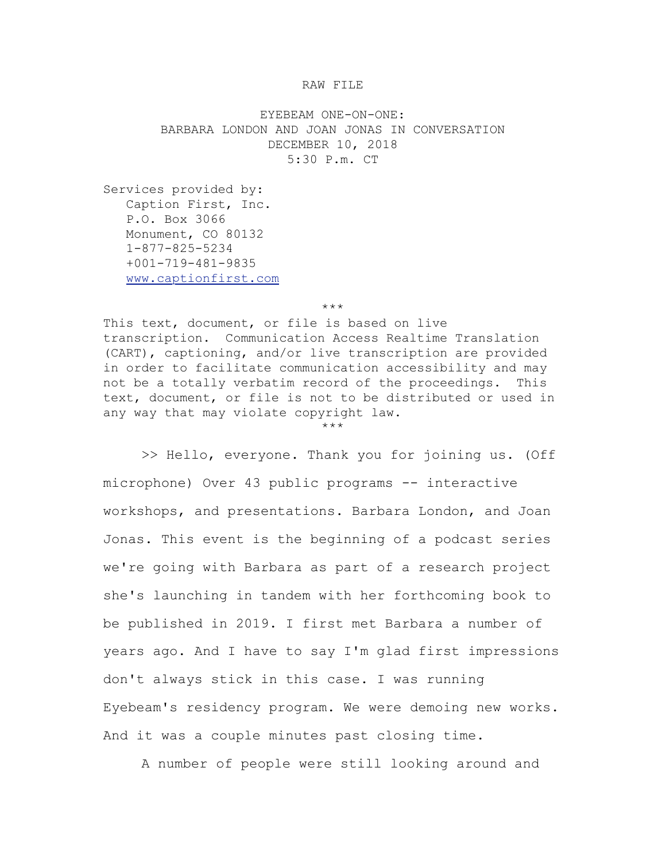## RAW FILE

EYEBEAM ONE-ON-ONE: BARBARA LONDON AND JOAN JONAS IN CONVERSATION DECEMBER 10, 2018 5:30 P.m. CT

Services provided by: Caption First, Inc. P.O. Box 3066 Monument, CO 80132 1-877-825-5234 +001-719-481-9835 [www.captionfirst.com](http://www.captionfirst.com/)

\*\*\*

This text, document, or file is based on live transcription. Communication Access Realtime Translation (CART), captioning, and/or live transcription are provided in order to facilitate communication accessibility and may not be a totally verbatim record of the proceedings. This text, document, or file is not to be distributed or used in any way that may violate copyright law.

\*\*\*

>> Hello, everyone. Thank you for joining us. (Off microphone) Over 43 public programs -- interactive workshops, and presentations. Barbara London, and Joan Jonas. This event is the beginning of a podcast series we're going with Barbara as part of a research project she's launching in tandem with her forthcoming book to be published in 2019. I first met Barbara a number of years ago. And I have to say I'm glad first impressions don't always stick in this case. I was running Eyebeam's residency program. We were demoing new works. And it was a couple minutes past closing time.

A number of people were still looking around and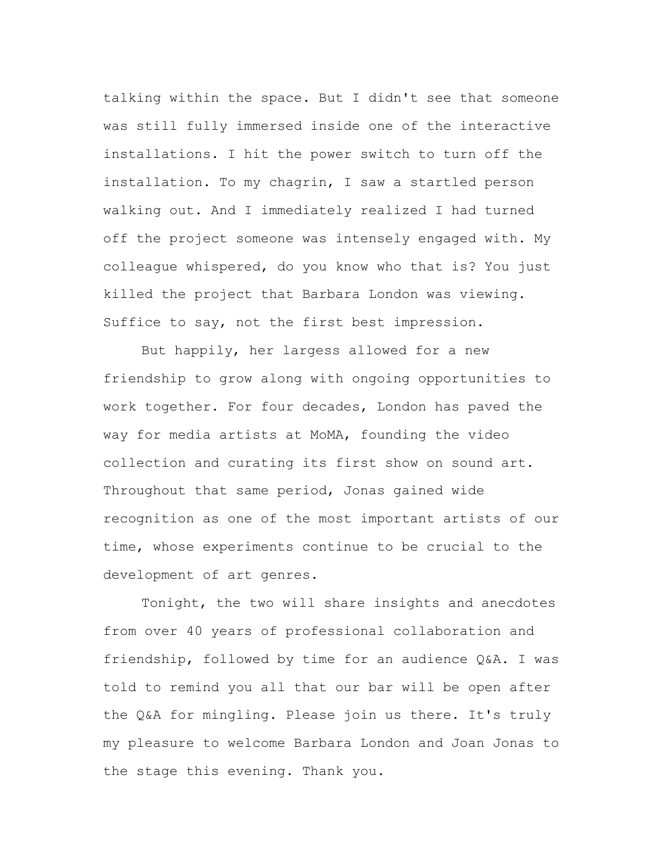talking within the space. But I didn't see that someone was still fully immersed inside one of the interactive installations. I hit the power switch to turn off the installation. To my chagrin, I saw a startled person walking out. And I immediately realized I had turned off the project someone was intensely engaged with. My colleague whispered, do you know who that is? You just killed the project that Barbara London was viewing. Suffice to say, not the first best impression.

But happily, her largess allowed for a new friendship to grow along with ongoing opportunities to work together. For four decades, London has paved the way for media artists at MoMA, founding the video collection and curating its first show on sound art. Throughout that same period, Jonas gained wide recognition as one of the most important artists of our time, whose experiments continue to be crucial to the development of art genres.

Tonight, the two will share insights and anecdotes from over 40 years of professional collaboration and friendship, followed by time for an audience Q&A. I was told to remind you all that our bar will be open after the Q&A for mingling. Please join us there. It's truly my pleasure to welcome Barbara London and Joan Jonas to the stage this evening. Thank you.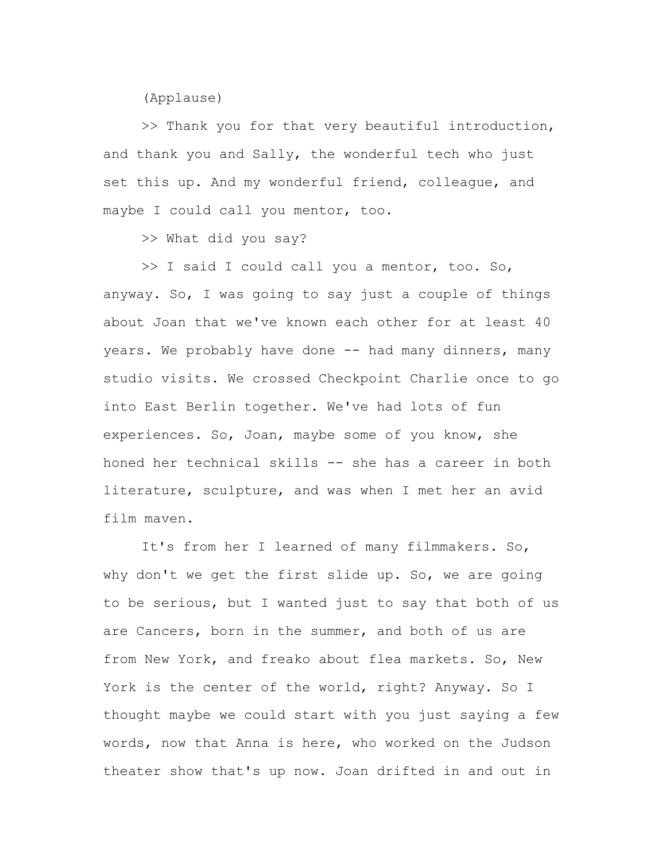(Applause)

>> Thank you for that very beautiful introduction, and thank you and Sally, the wonderful tech who just set this up. And my wonderful friend, colleague, and maybe I could call you mentor, too.

>> What did you say?

>> I said I could call you a mentor, too. So, anyway. So, I was going to say just a couple of things about Joan that we've known each other for at least 40 years. We probably have done -- had many dinners, many studio visits. We crossed Checkpoint Charlie once to go into East Berlin together. We've had lots of fun experiences. So, Joan, maybe some of you know, she honed her technical skills -- she has a career in both literature, sculpture, and was when I met her an avid film maven.

It's from her I learned of many filmmakers. So, why don't we get the first slide up. So, we are going to be serious, but I wanted just to say that both of us are Cancers, born in the summer, and both of us are from New York, and freako about flea markets. So, New York is the center of the world, right? Anyway. So I thought maybe we could start with you just saying a few words, now that Anna is here, who worked on the Judson theater show that's up now. Joan drifted in and out in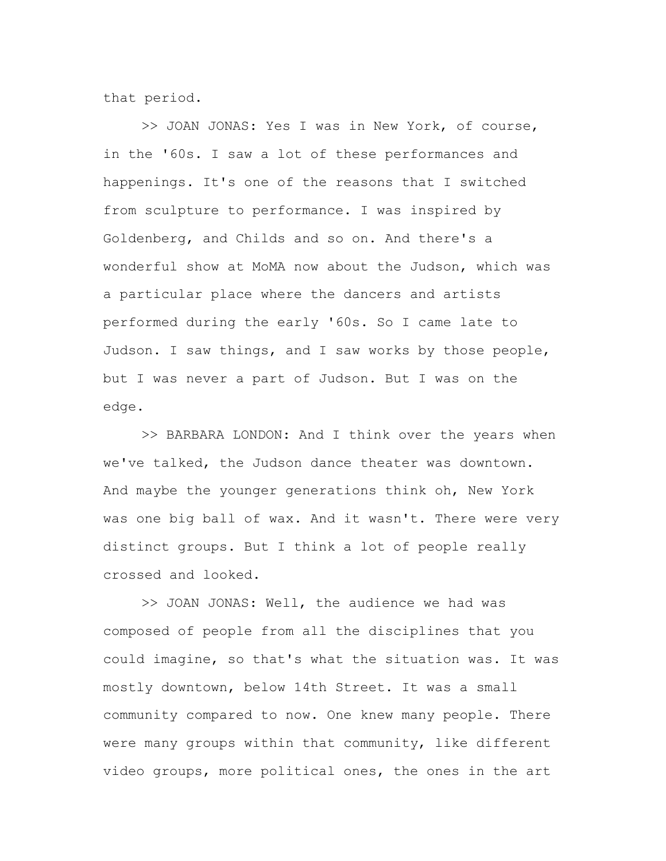that period.

>> JOAN JONAS: Yes I was in New York, of course, in the '60s. I saw a lot of these performances and happenings. It's one of the reasons that I switched from sculpture to performance. I was inspired by Goldenberg, and Childs and so on. And there's a wonderful show at MoMA now about the Judson, which was a particular place where the dancers and artists performed during the early '60s. So I came late to Judson. I saw things, and I saw works by those people, but I was never a part of Judson. But I was on the edge.

>> BARBARA LONDON: And I think over the years when we've talked, the Judson dance theater was downtown. And maybe the younger generations think oh, New York was one big ball of wax. And it wasn't. There were very distinct groups. But I think a lot of people really crossed and looked.

>> JOAN JONAS: Well, the audience we had was composed of people from all the disciplines that you could imagine, so that's what the situation was. It was mostly downtown, below 14th Street. It was a small community compared to now. One knew many people. There were many groups within that community, like different video groups, more political ones, the ones in the art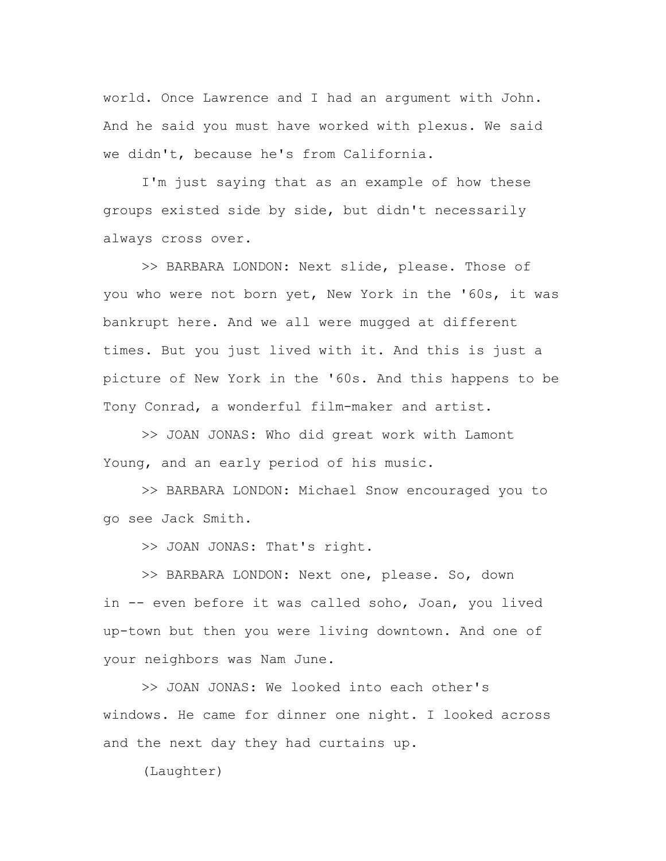world. Once Lawrence and I had an argument with John. And he said you must have worked with plexus. We said we didn't, because he's from California.

I'm just saying that as an example of how these groups existed side by side, but didn't necessarily always cross over.

>> BARBARA LONDON: Next slide, please. Those of you who were not born yet, New York in the '60s, it was bankrupt here. And we all were mugged at different times. But you just lived with it. And this is just a picture of New York in the '60s. And this happens to be Tony Conrad, a wonderful film-maker and artist.

>> JOAN JONAS: Who did great work with Lamont Young, and an early period of his music.

>> BARBARA LONDON: Michael Snow encouraged you to go see Jack Smith.

>> JOAN JONAS: That's right.

>> BARBARA LONDON: Next one, please. So, down in -- even before it was called soho, Joan, you lived up-town but then you were living downtown. And one of your neighbors was Nam June.

>> JOAN JONAS: We looked into each other's windows. He came for dinner one night. I looked across and the next day they had curtains up.

(Laughter)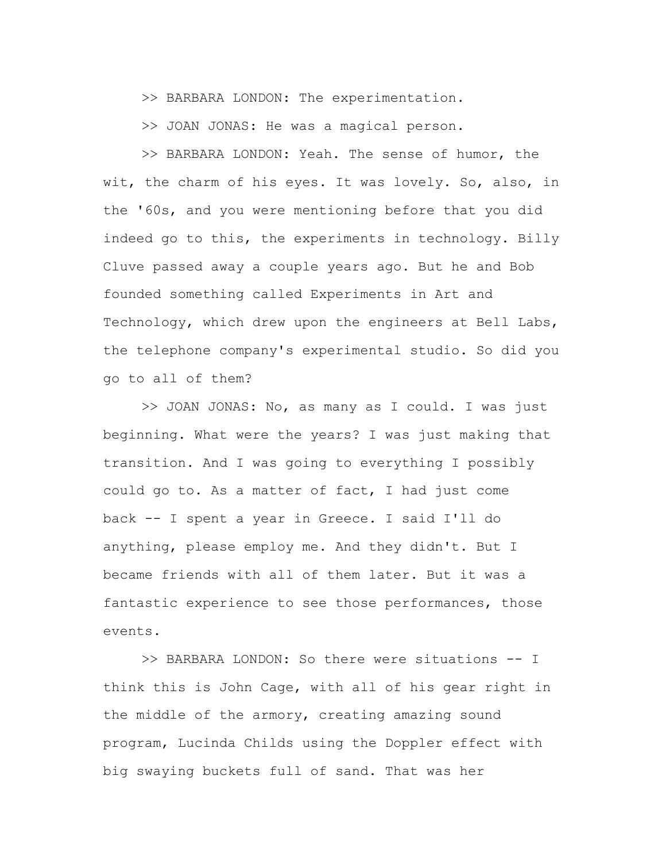>> BARBARA LONDON: The experimentation.

>> JOAN JONAS: He was a magical person.

>> BARBARA LONDON: Yeah. The sense of humor, the wit, the charm of his eyes. It was lovely. So, also, in the '60s, and you were mentioning before that you did indeed go to this, the experiments in technology. Billy Cluve passed away a couple years ago. But he and Bob founded something called Experiments in Art and Technology, which drew upon the engineers at Bell Labs, the telephone company's experimental studio. So did you go to all of them?

>> JOAN JONAS: No, as many as I could. I was just beginning. What were the years? I was just making that transition. And I was going to everything I possibly could go to. As a matter of fact, I had just come back -- I spent a year in Greece. I said I'll do anything, please employ me. And they didn't. But I became friends with all of them later. But it was a fantastic experience to see those performances, those events.

>> BARBARA LONDON: So there were situations -- I think this is John Cage, with all of his gear right in the middle of the armory, creating amazing sound program, Lucinda Childs using the Doppler effect with big swaying buckets full of sand. That was her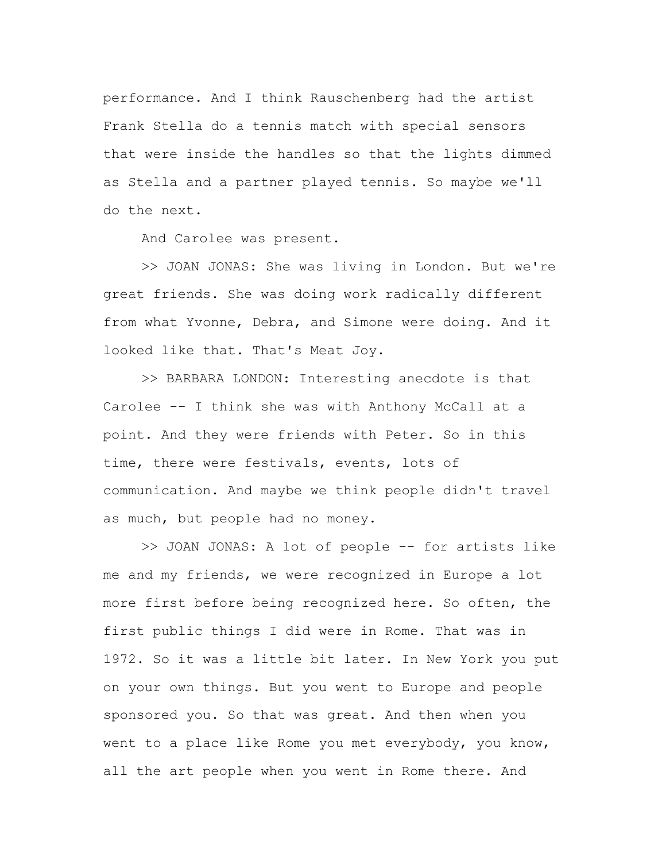performance. And I think Rauschenberg had the artist Frank Stella do a tennis match with special sensors that were inside the handles so that the lights dimmed as Stella and a partner played tennis. So maybe we'll do the next.

And Carolee was present.

>> JOAN JONAS: She was living in London. But we're great friends. She was doing work radically different from what Yvonne, Debra, and Simone were doing. And it looked like that. That's Meat Joy.

>> BARBARA LONDON: Interesting anecdote is that Carolee -- I think she was with Anthony McCall at a point. And they were friends with Peter. So in this time, there were festivals, events, lots of communication. And maybe we think people didn't travel as much, but people had no money.

>> JOAN JONAS: A lot of people -- for artists like me and my friends, we were recognized in Europe a lot more first before being recognized here. So often, the first public things I did were in Rome. That was in 1972. So it was a little bit later. In New York you put on your own things. But you went to Europe and people sponsored you. So that was great. And then when you went to a place like Rome you met everybody, you know, all the art people when you went in Rome there. And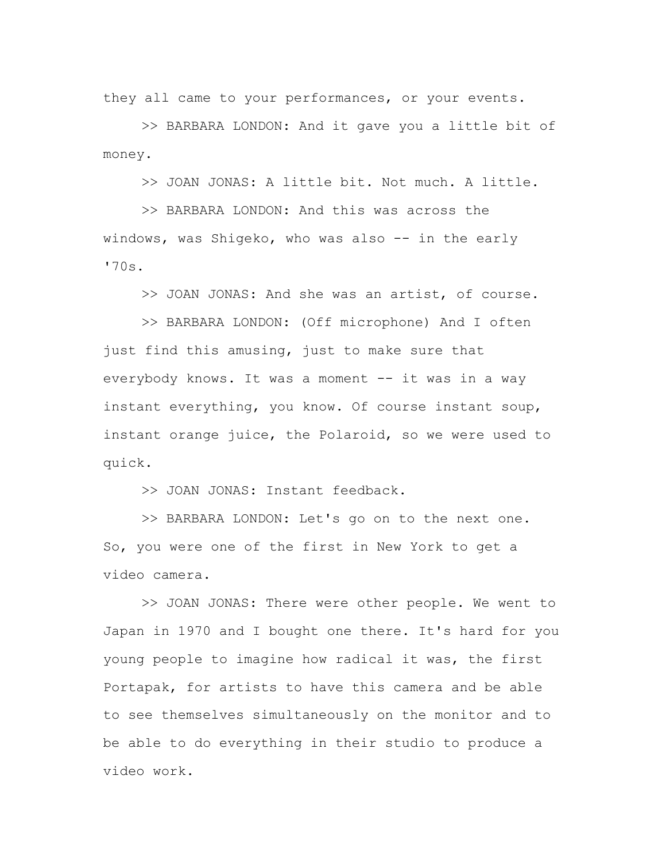they all came to your performances, or your events.

>> BARBARA LONDON: And it gave you a little bit of money.

>> JOAN JONAS: A little bit. Not much. A little.

>> BARBARA LONDON: And this was across the windows, was Shigeko, who was also -- in the early '70s.

>> JOAN JONAS: And she was an artist, of course.

>> BARBARA LONDON: (Off microphone) And I often just find this amusing, just to make sure that everybody knows. It was a moment -- it was in a way instant everything, you know. Of course instant soup, instant orange juice, the Polaroid, so we were used to quick.

>> JOAN JONAS: Instant feedback.

>> BARBARA LONDON: Let's go on to the next one. So, you were one of the first in New York to get a video camera.

>> JOAN JONAS: There were other people. We went to Japan in 1970 and I bought one there. It's hard for you young people to imagine how radical it was, the first Portapak, for artists to have this camera and be able to see themselves simultaneously on the monitor and to be able to do everything in their studio to produce a video work.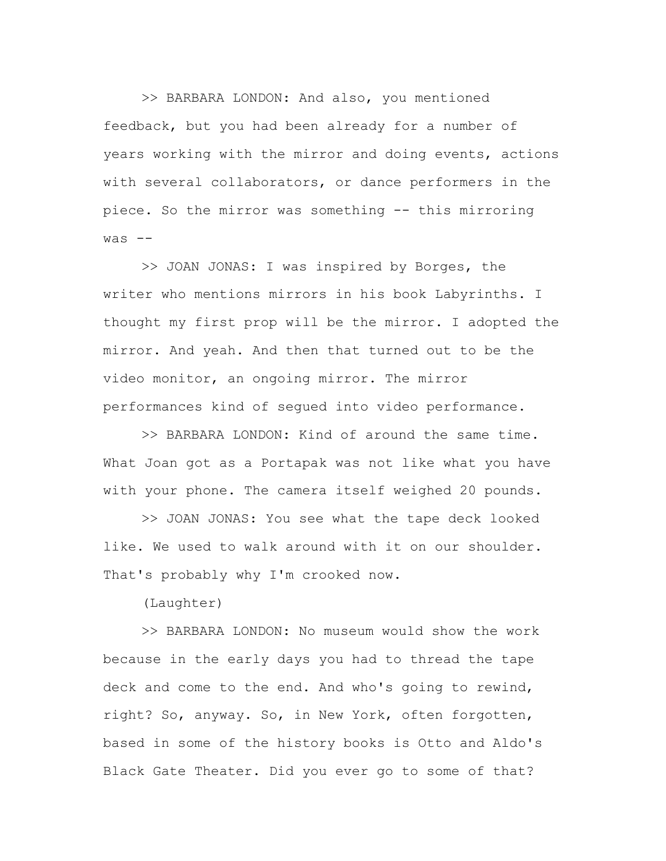>> BARBARA LONDON: And also, you mentioned feedback, but you had been already for a number of years working with the mirror and doing events, actions with several collaborators, or dance performers in the piece. So the mirror was something -- this mirroring  $was$   $--$ 

>> JOAN JONAS: I was inspired by Borges, the writer who mentions mirrors in his book Labyrinths. I thought my first prop will be the mirror. I adopted the mirror. And yeah. And then that turned out to be the video monitor, an ongoing mirror. The mirror performances kind of segued into video performance.

>> BARBARA LONDON: Kind of around the same time. What Joan got as a Portapak was not like what you have with your phone. The camera itself weighed 20 pounds.

>> JOAN JONAS: You see what the tape deck looked like. We used to walk around with it on our shoulder. That's probably why I'm crooked now.

(Laughter)

>> BARBARA LONDON: No museum would show the work because in the early days you had to thread the tape deck and come to the end. And who's going to rewind, right? So, anyway. So, in New York, often forgotten, based in some of the history books is Otto and Aldo's Black Gate Theater. Did you ever go to some of that?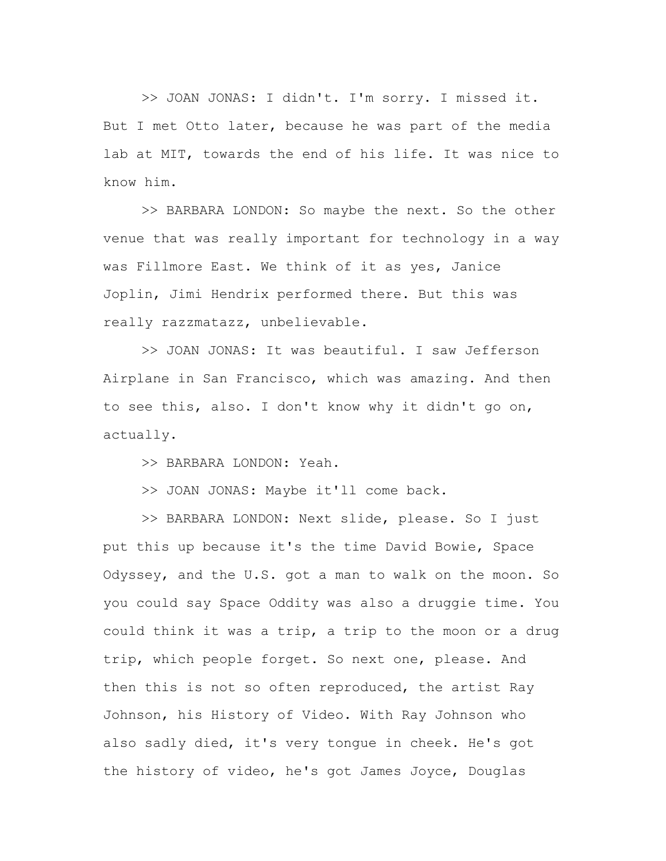>> JOAN JONAS: I didn't. I'm sorry. I missed it. But I met Otto later, because he was part of the media lab at MIT, towards the end of his life. It was nice to know him.

>> BARBARA LONDON: So maybe the next. So the other venue that was really important for technology in a way was Fillmore East. We think of it as yes, Janice Joplin, Jimi Hendrix performed there. But this was really razzmatazz, unbelievable.

>> JOAN JONAS: It was beautiful. I saw Jefferson Airplane in San Francisco, which was amazing. And then to see this, also. I don't know why it didn't go on, actually.

>> BARBARA LONDON: Yeah.

>> JOAN JONAS: Maybe it'll come back.

>> BARBARA LONDON: Next slide, please. So I just put this up because it's the time David Bowie, Space Odyssey, and the U.S. got a man to walk on the moon. So you could say Space Oddity was also a druggie time. You could think it was a trip, a trip to the moon or a drug trip, which people forget. So next one, please. And then this is not so often reproduced, the artist Ray Johnson, his History of Video. With Ray Johnson who also sadly died, it's very tongue in cheek. He's got the history of video, he's got James Joyce, Douglas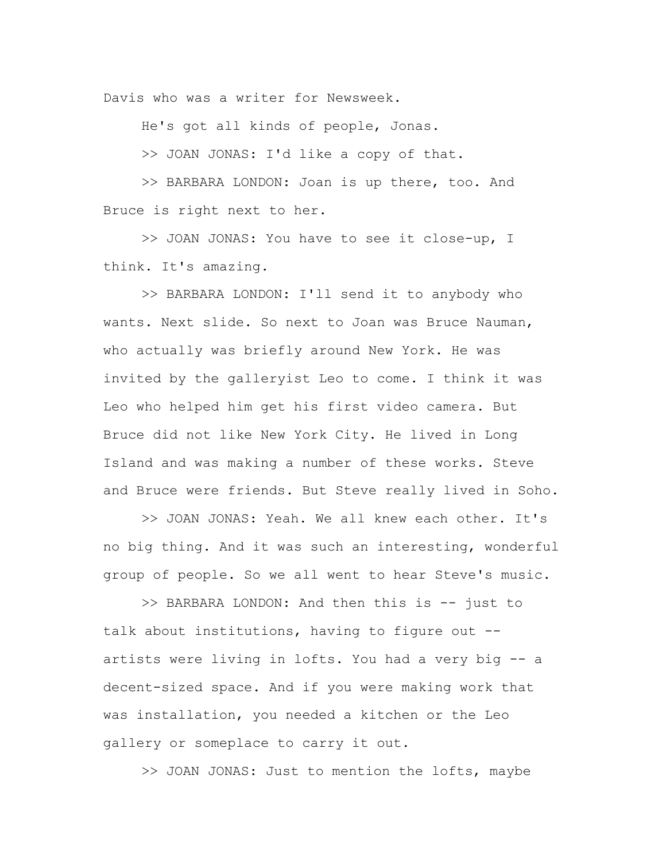Davis who was a writer for Newsweek.

He's got all kinds of people, Jonas.

>> JOAN JONAS: I'd like a copy of that.

>> BARBARA LONDON: Joan is up there, too. And Bruce is right next to her.

>> JOAN JONAS: You have to see it close-up, I think. It's amazing.

>> BARBARA LONDON: I'll send it to anybody who wants. Next slide. So next to Joan was Bruce Nauman, who actually was briefly around New York. He was invited by the galleryist Leo to come. I think it was Leo who helped him get his first video camera. But Bruce did not like New York City. He lived in Long Island and was making a number of these works. Steve and Bruce were friends. But Steve really lived in Soho.

>> JOAN JONAS: Yeah. We all knew each other. It's no big thing. And it was such an interesting, wonderful group of people. So we all went to hear Steve's music.

>> BARBARA LONDON: And then this is -- just to talk about institutions, having to figure out - artists were living in lofts. You had a very big -- a decent-sized space. And if you were making work that was installation, you needed a kitchen or the Leo gallery or someplace to carry it out.

>> JOAN JONAS: Just to mention the lofts, maybe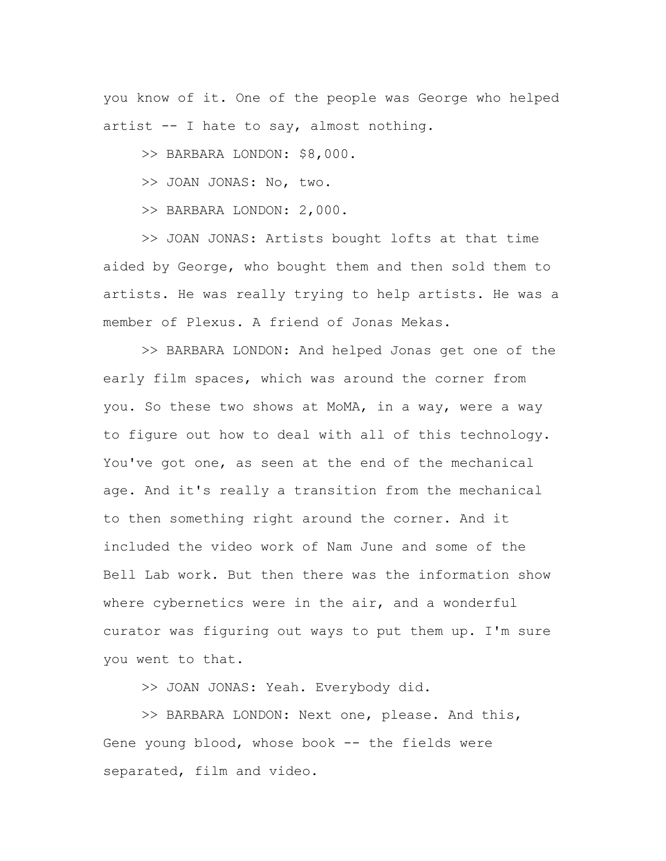you know of it. One of the people was George who helped artist -- I hate to say, almost nothing.

>> BARBARA LONDON: \$8,000.

>> JOAN JONAS: No, two.

>> BARBARA LONDON: 2,000.

>> JOAN JONAS: Artists bought lofts at that time aided by George, who bought them and then sold them to artists. He was really trying to help artists. He was a member of Plexus. A friend of Jonas Mekas.

>> BARBARA LONDON: And helped Jonas get one of the early film spaces, which was around the corner from you. So these two shows at MoMA, in a way, were a way to figure out how to deal with all of this technology. You've got one, as seen at the end of the mechanical age. And it's really a transition from the mechanical to then something right around the corner. And it included the video work of Nam June and some of the Bell Lab work. But then there was the information show where cybernetics were in the air, and a wonderful curator was figuring out ways to put them up. I'm sure you went to that.

>> JOAN JONAS: Yeah. Everybody did.

>> BARBARA LONDON: Next one, please. And this, Gene young blood, whose book -- the fields were separated, film and video.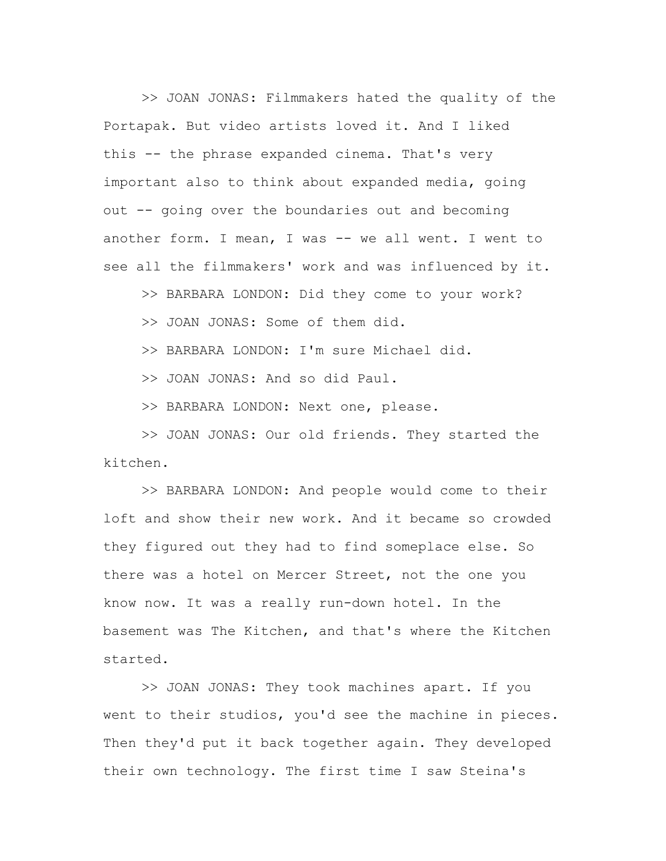>> JOAN JONAS: Filmmakers hated the quality of the Portapak. But video artists loved it. And I liked this -- the phrase expanded cinema. That's very important also to think about expanded media, going out -- going over the boundaries out and becoming another form. I mean, I was -- we all went. I went to see all the filmmakers' work and was influenced by it.

>> BARBARA LONDON: Did they come to your work?

>> JOAN JONAS: Some of them did.

>> BARBARA LONDON: I'm sure Michael did.

>> JOAN JONAS: And so did Paul.

>> BARBARA LONDON: Next one, please.

>> JOAN JONAS: Our old friends. They started the kitchen.

>> BARBARA LONDON: And people would come to their loft and show their new work. And it became so crowded they figured out they had to find someplace else. So there was a hotel on Mercer Street, not the one you know now. It was a really run-down hotel. In the basement was The Kitchen, and that's where the Kitchen started.

>> JOAN JONAS: They took machines apart. If you went to their studios, you'd see the machine in pieces. Then they'd put it back together again. They developed their own technology. The first time I saw Steina's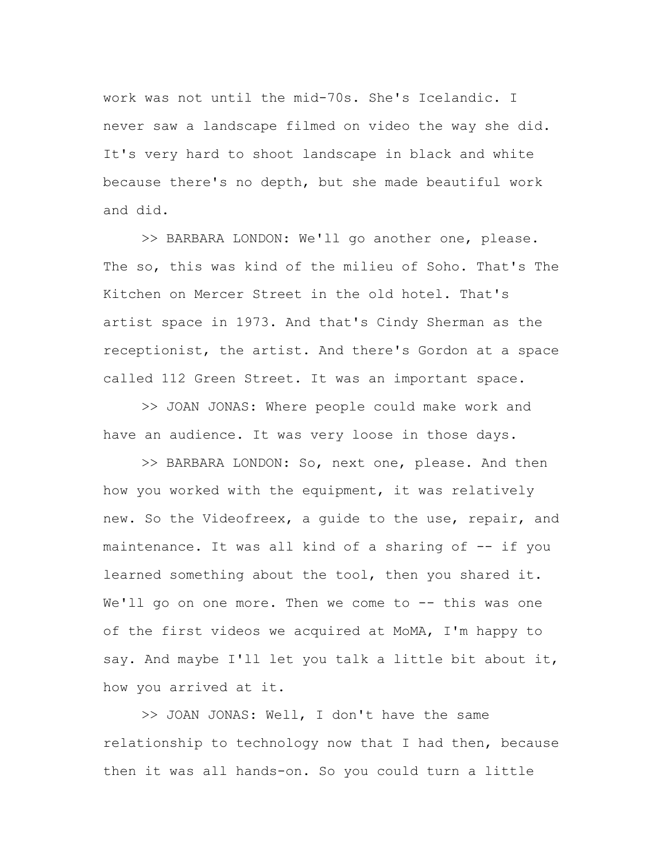work was not until the mid-70s. She's Icelandic. I never saw a landscape filmed on video the way she did. It's very hard to shoot landscape in black and white because there's no depth, but she made beautiful work and did.

>> BARBARA LONDON: We'll go another one, please. The so, this was kind of the milieu of Soho. That's The Kitchen on Mercer Street in the old hotel. That's artist space in 1973. And that's Cindy Sherman as the receptionist, the artist. And there's Gordon at a space called 112 Green Street. It was an important space.

>> JOAN JONAS: Where people could make work and have an audience. It was very loose in those days.

>> BARBARA LONDON: So, next one, please. And then how you worked with the equipment, it was relatively new. So the Videofreex, a guide to the use, repair, and maintenance. It was all kind of a sharing of -- if you learned something about the tool, then you shared it. We'll go on one more. Then we come to -- this was one of the first videos we acquired at MoMA, I'm happy to say. And maybe I'll let you talk a little bit about it, how you arrived at it.

>> JOAN JONAS: Well, I don't have the same relationship to technology now that I had then, because then it was all hands-on. So you could turn a little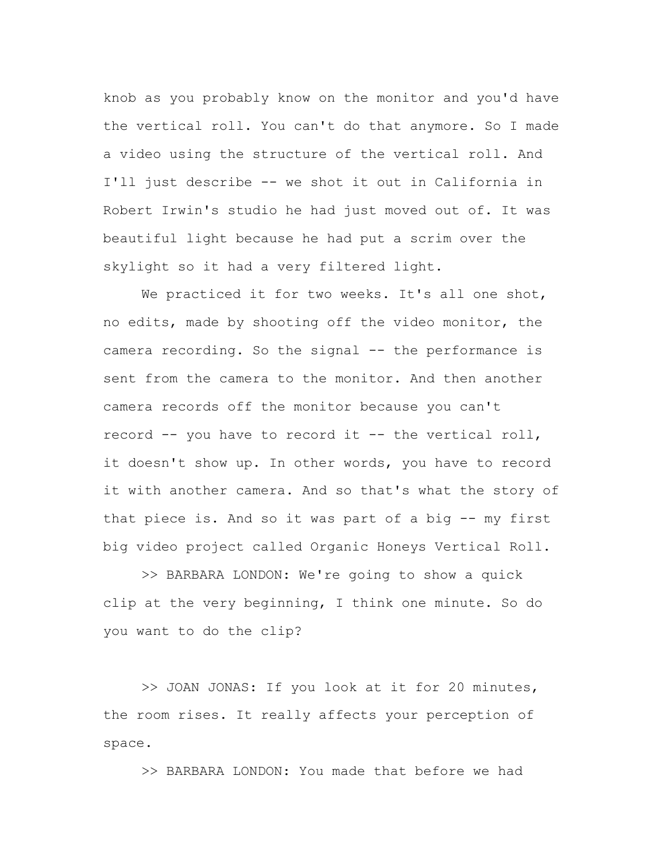knob as you probably know on the monitor and you'd have the vertical roll. You can't do that anymore. So I made a video using the structure of the vertical roll. And I'll just describe -- we shot it out in California in Robert Irwin's studio he had just moved out of. It was beautiful light because he had put a scrim over the skylight so it had a very filtered light.

We practiced it for two weeks. It's all one shot, no edits, made by shooting off the video monitor, the camera recording. So the signal -- the performance is sent from the camera to the monitor. And then another camera records off the monitor because you can't record -- you have to record it -- the vertical roll, it doesn't show up. In other words, you have to record it with another camera. And so that's what the story of that piece is. And so it was part of a big -- my first big video project called Organic Honeys Vertical Roll.

>> BARBARA LONDON: We're going to show a quick clip at the very beginning, I think one minute. So do you want to do the clip?

>> JOAN JONAS: If you look at it for 20 minutes, the room rises. It really affects your perception of space.

>> BARBARA LONDON: You made that before we had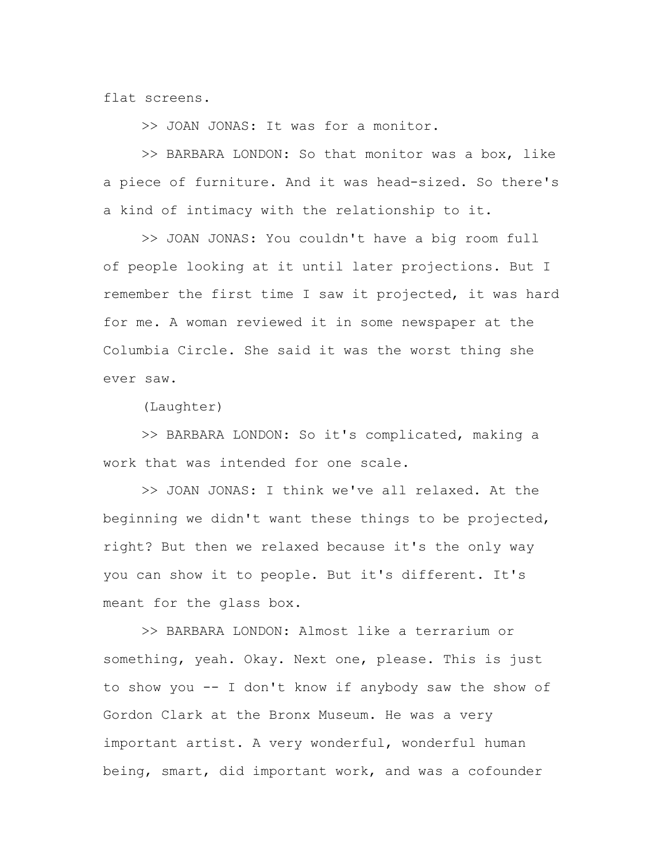flat screens.

>> JOAN JONAS: It was for a monitor.

>> BARBARA LONDON: So that monitor was a box, like a piece of furniture. And it was head-sized. So there's a kind of intimacy with the relationship to it.

>> JOAN JONAS: You couldn't have a big room full of people looking at it until later projections. But I remember the first time I saw it projected, it was hard for me. A woman reviewed it in some newspaper at the Columbia Circle. She said it was the worst thing she ever saw.

(Laughter)

>> BARBARA LONDON: So it's complicated, making a work that was intended for one scale.

>> JOAN JONAS: I think we've all relaxed. At the beginning we didn't want these things to be projected, right? But then we relaxed because it's the only way you can show it to people. But it's different. It's meant for the glass box.

>> BARBARA LONDON: Almost like a terrarium or something, yeah. Okay. Next one, please. This is just to show you -- I don't know if anybody saw the show of Gordon Clark at the Bronx Museum. He was a very important artist. A very wonderful, wonderful human being, smart, did important work, and was a cofounder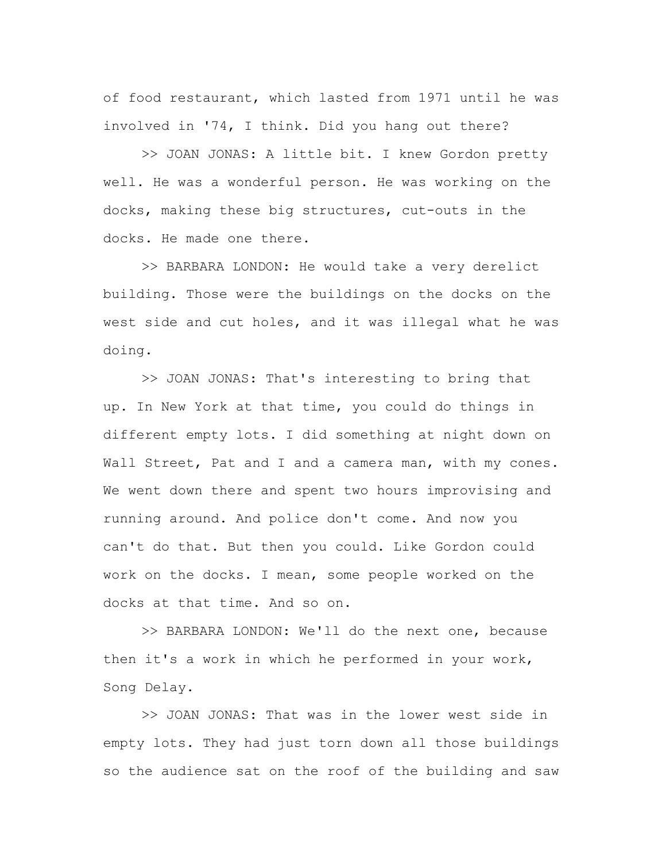of food restaurant, which lasted from 1971 until he was involved in '74, I think. Did you hang out there?

>> JOAN JONAS: A little bit. I knew Gordon pretty well. He was a wonderful person. He was working on the docks, making these big structures, cut-outs in the docks. He made one there.

>> BARBARA LONDON: He would take a very derelict building. Those were the buildings on the docks on the west side and cut holes, and it was illegal what he was doing.

>> JOAN JONAS: That's interesting to bring that up. In New York at that time, you could do things in different empty lots. I did something at night down on Wall Street, Pat and I and a camera man, with my cones. We went down there and spent two hours improvising and running around. And police don't come. And now you can't do that. But then you could. Like Gordon could work on the docks. I mean, some people worked on the docks at that time. And so on.

>> BARBARA LONDON: We'll do the next one, because then it's a work in which he performed in your work, Song Delay.

>> JOAN JONAS: That was in the lower west side in empty lots. They had just torn down all those buildings so the audience sat on the roof of the building and saw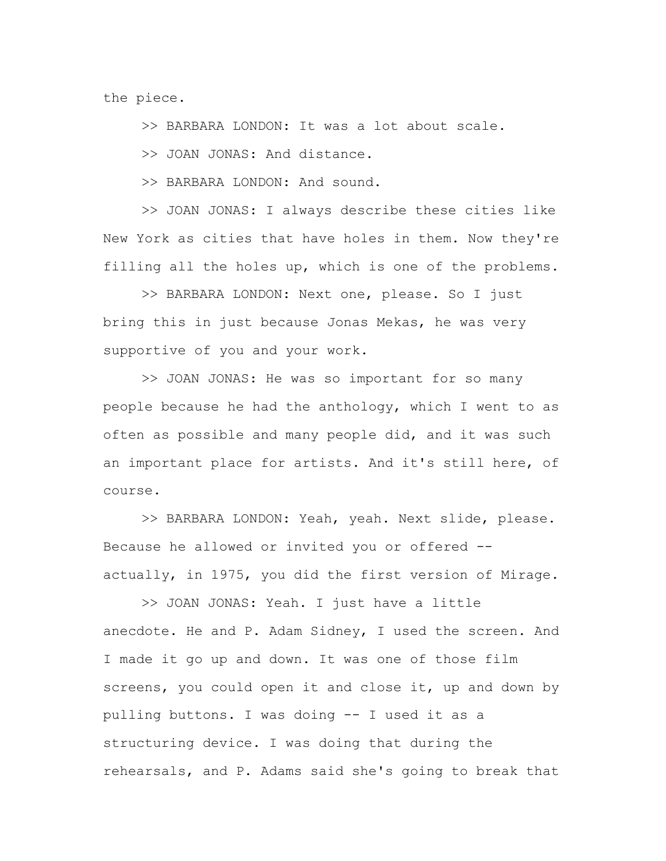the piece.

>> BARBARA LONDON: It was a lot about scale.

>> JOAN JONAS: And distance.

>> BARBARA LONDON: And sound.

>> JOAN JONAS: I always describe these cities like New York as cities that have holes in them. Now they're filling all the holes up, which is one of the problems.

>> BARBARA LONDON: Next one, please. So I just bring this in just because Jonas Mekas, he was very supportive of you and your work.

>> JOAN JONAS: He was so important for so many people because he had the anthology, which I went to as often as possible and many people did, and it was such an important place for artists. And it's still here, of course.

>> BARBARA LONDON: Yeah, yeah. Next slide, please. Because he allowed or invited you or offered - actually, in 1975, you did the first version of Mirage.

>> JOAN JONAS: Yeah. I just have a little anecdote. He and P. Adam Sidney, I used the screen. And I made it go up and down. It was one of those film screens, you could open it and close it, up and down by pulling buttons. I was doing -- I used it as a structuring device. I was doing that during the rehearsals, and P. Adams said she's going to break that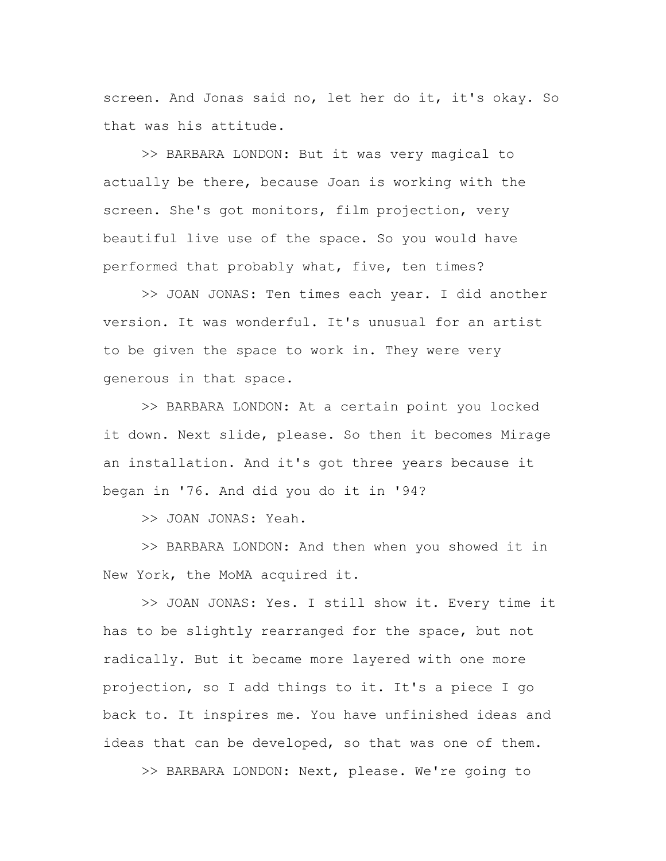screen. And Jonas said no, let her do it, it's okay. So that was his attitude.

>> BARBARA LONDON: But it was very magical to actually be there, because Joan is working with the screen. She's got monitors, film projection, very beautiful live use of the space. So you would have performed that probably what, five, ten times?

>> JOAN JONAS: Ten times each year. I did another version. It was wonderful. It's unusual for an artist to be given the space to work in. They were very generous in that space.

>> BARBARA LONDON: At a certain point you locked it down. Next slide, please. So then it becomes Mirage an installation. And it's got three years because it began in '76. And did you do it in '94?

>> JOAN JONAS: Yeah.

>> BARBARA LONDON: And then when you showed it in New York, the MoMA acquired it.

>> JOAN JONAS: Yes. I still show it. Every time it has to be slightly rearranged for the space, but not radically. But it became more layered with one more projection, so I add things to it. It's a piece I go back to. It inspires me. You have unfinished ideas and ideas that can be developed, so that was one of them.

>> BARBARA LONDON: Next, please. We're going to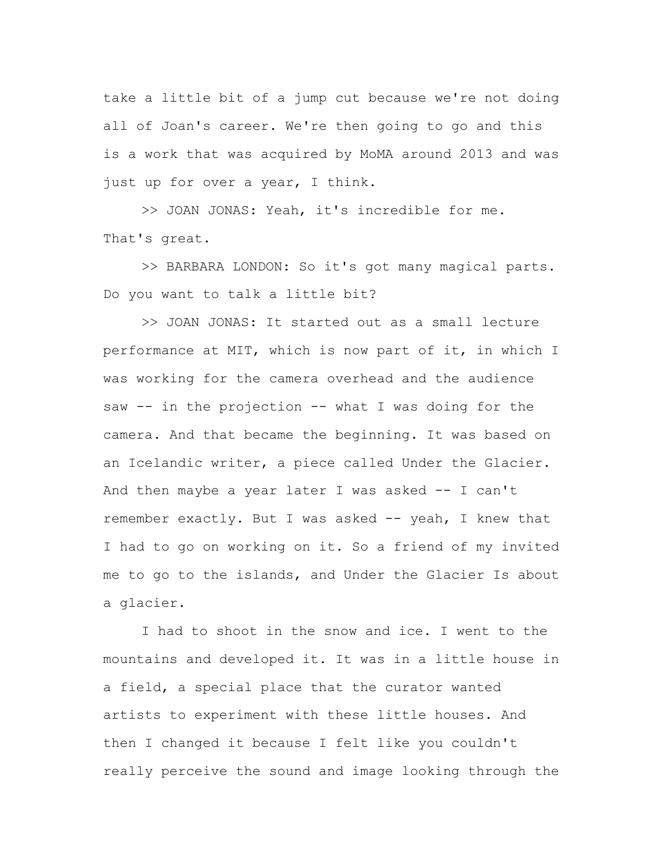take a little bit of a jump cut because we're not doing all of Joan's career. We're then going to go and this is a work that was acquired by MoMA around 2013 and was just up for over a year, I think.

>> JOAN JONAS: Yeah, it's incredible for me. That's great.

>> BARBARA LONDON: So it's got many magical parts. Do you want to talk a little bit?

>> JOAN JONAS: It started out as a small lecture performance at MIT, which is now part of it, in which I was working for the camera overhead and the audience saw -- in the projection -- what I was doing for the camera. And that became the beginning. It was based on an Icelandic writer, a piece called Under the Glacier. And then maybe a year later I was asked  $-$  I can't remember exactly. But I was asked -- yeah, I knew that I had to go on working on it. So a friend of my invited me to go to the islands, and Under the Glacier Is about a glacier.

I had to shoot in the snow and ice. I went to the mountains and developed it. It was in a little house in a field, a special place that the curator wanted artists to experiment with these little houses. And then I changed it because I felt like you couldn't really perceive the sound and image looking through the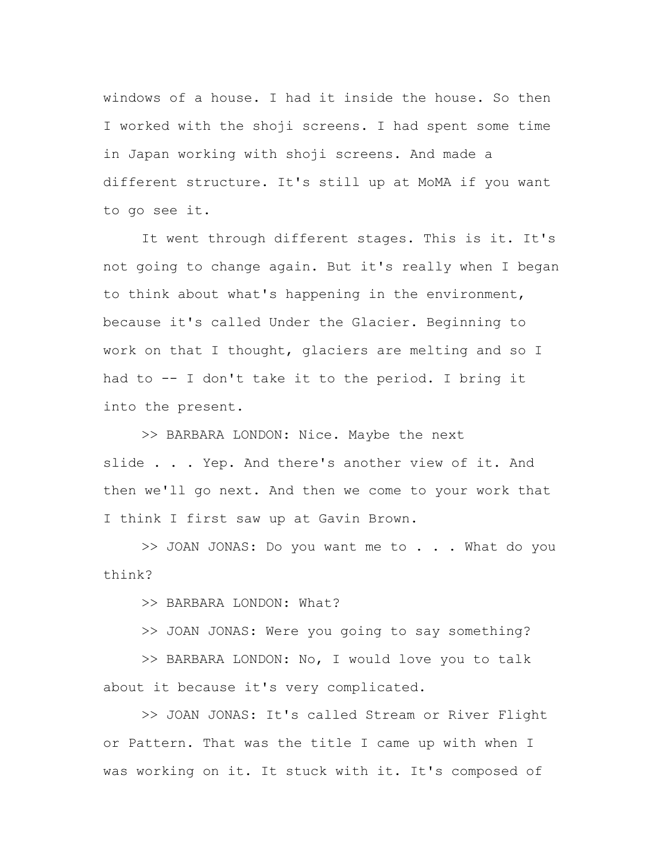windows of a house. I had it inside the house. So then I worked with the shoji screens. I had spent some time in Japan working with shoji screens. And made a different structure. It's still up at MoMA if you want to go see it.

It went through different stages. This is it. It's not going to change again. But it's really when I began to think about what's happening in the environment, because it's called Under the Glacier. Beginning to work on that I thought, glaciers are melting and so I had to -- I don't take it to the period. I bring it into the present.

>> BARBARA LONDON: Nice. Maybe the next slide . . . Yep. And there's another view of it. And then we'll go next. And then we come to your work that I think I first saw up at Gavin Brown.

>> JOAN JONAS: Do you want me to . . . What do you think?

>> BARBARA LONDON: What?

>> JOAN JONAS: Were you going to say something?

>> BARBARA LONDON: No, I would love you to talk about it because it's very complicated.

>> JOAN JONAS: It's called Stream or River Flight or Pattern. That was the title I came up with when I was working on it. It stuck with it. It's composed of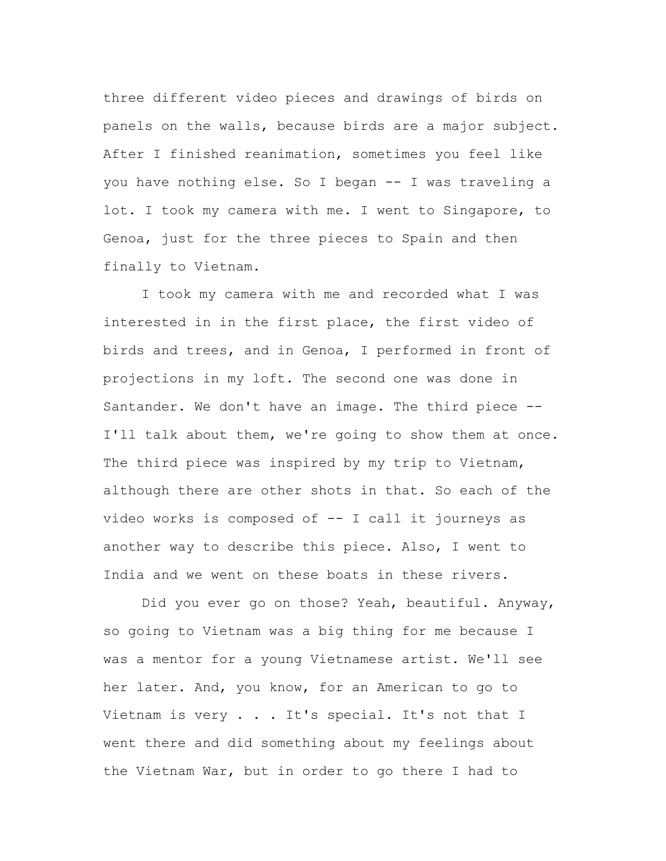three different video pieces and drawings of birds on panels on the walls, because birds are a major subject. After I finished reanimation, sometimes you feel like you have nothing else. So I began -- I was traveling a lot. I took my camera with me. I went to Singapore, to Genoa, just for the three pieces to Spain and then finally to Vietnam.

I took my camera with me and recorded what I was interested in in the first place, the first video of birds and trees, and in Genoa, I performed in front of projections in my loft. The second one was done in Santander. We don't have an image. The third piece -- I'll talk about them, we're going to show them at once. The third piece was inspired by my trip to Vietnam, although there are other shots in that. So each of the video works is composed of -- I call it journeys as another way to describe this piece. Also, I went to India and we went on these boats in these rivers.

Did you ever go on those? Yeah, beautiful. Anyway, so going to Vietnam was a big thing for me because I was a mentor for a young Vietnamese artist. We'll see her later. And, you know, for an American to go to Vietnam is very . . . It's special. It's not that I went there and did something about my feelings about the Vietnam War, but in order to go there I had to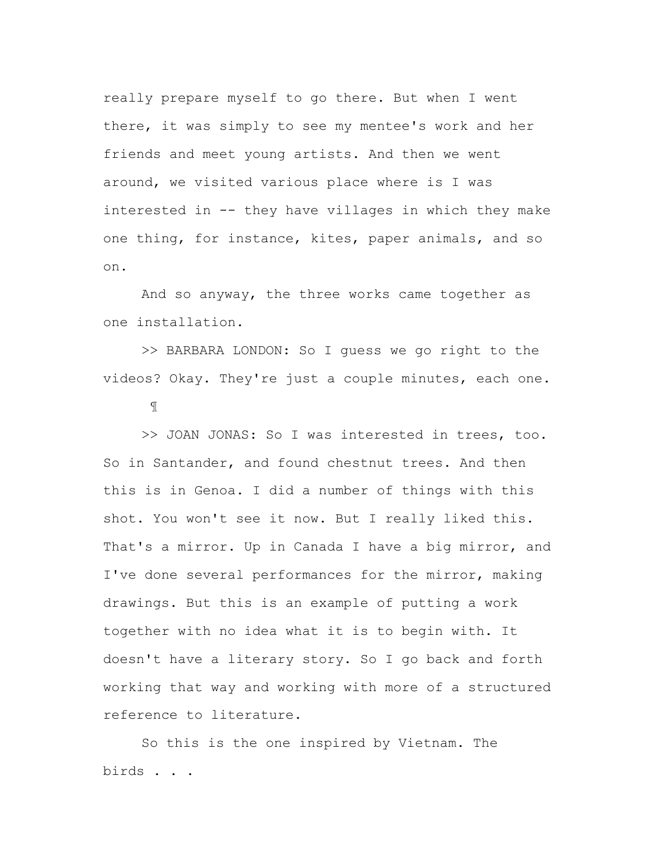really prepare myself to go there. But when I went there, it was simply to see my mentee's work and her friends and meet young artists. And then we went around, we visited various place where is I was interested in -- they have villages in which they make one thing, for instance, kites, paper animals, and so on.

And so anyway, the three works came together as one installation.

>> BARBARA LONDON: So I guess we go right to the videos? Okay. They're just a couple minutes, each one.

¶

>> JOAN JONAS: So I was interested in trees, too. So in Santander, and found chestnut trees. And then this is in Genoa. I did a number of things with this shot. You won't see it now. But I really liked this. That's a mirror. Up in Canada I have a big mirror, and I've done several performances for the mirror, making drawings. But this is an example of putting a work together with no idea what it is to begin with. It doesn't have a literary story. So I go back and forth working that way and working with more of a structured reference to literature.

So this is the one inspired by Vietnam. The birds . . .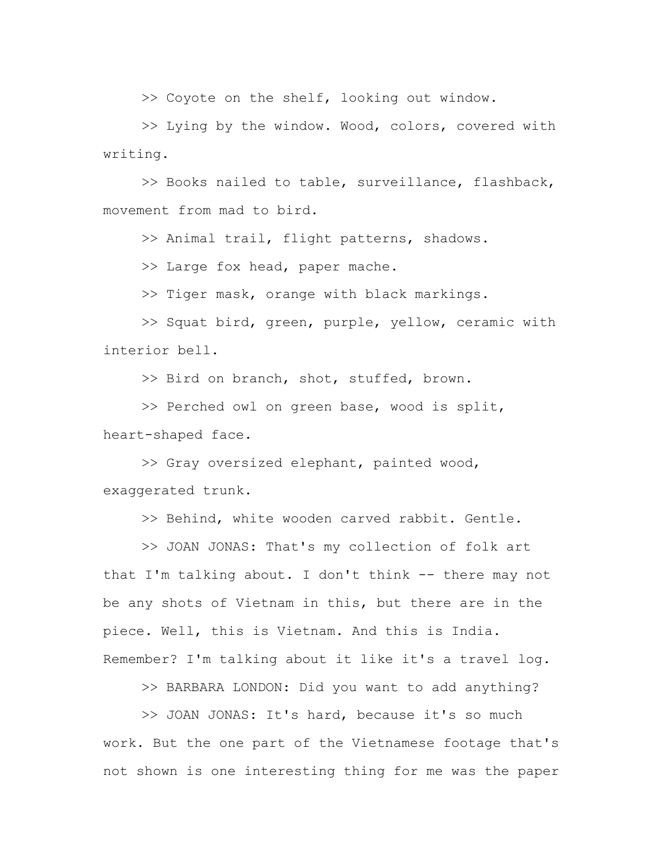>> Coyote on the shelf, looking out window.

>> Lying by the window. Wood, colors, covered with writing.

>> Books nailed to table, surveillance, flashback, movement from mad to bird.

>> Animal trail, flight patterns, shadows.

>> Large fox head, paper mache.

>> Tiger mask, orange with black markings.

>> Squat bird, green, purple, yellow, ceramic with interior bell.

>> Bird on branch, shot, stuffed, brown.

>> Perched owl on green base, wood is split, heart-shaped face.

>> Gray oversized elephant, painted wood, exaggerated trunk.

>> Behind, white wooden carved rabbit. Gentle.

>> JOAN JONAS: That's my collection of folk art that I'm talking about. I don't think -- there may not be any shots of Vietnam in this, but there are in the piece. Well, this is Vietnam. And this is India. Remember? I'm talking about it like it's a travel log.

>> BARBARA LONDON: Did you want to add anything?

>> JOAN JONAS: It's hard, because it's so much work. But the one part of the Vietnamese footage that's not shown is one interesting thing for me was the paper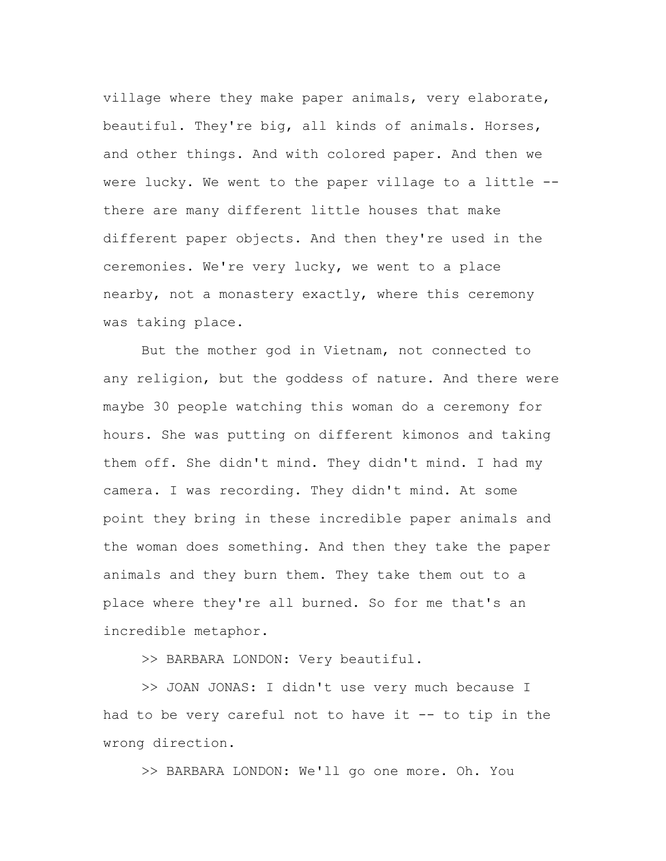village where they make paper animals, very elaborate, beautiful. They're big, all kinds of animals. Horses, and other things. And with colored paper. And then we were lucky. We went to the paper village to a little - there are many different little houses that make different paper objects. And then they're used in the ceremonies. We're very lucky, we went to a place nearby, not a monastery exactly, where this ceremony was taking place.

But the mother god in Vietnam, not connected to any religion, but the goddess of nature. And there were maybe 30 people watching this woman do a ceremony for hours. She was putting on different kimonos and taking them off. She didn't mind. They didn't mind. I had my camera. I was recording. They didn't mind. At some point they bring in these incredible paper animals and the woman does something. And then they take the paper animals and they burn them. They take them out to a place where they're all burned. So for me that's an incredible metaphor.

>> BARBARA LONDON: Very beautiful.

>> JOAN JONAS: I didn't use very much because I had to be very careful not to have it -- to tip in the wrong direction.

>> BARBARA LONDON: We'll go one more. Oh. You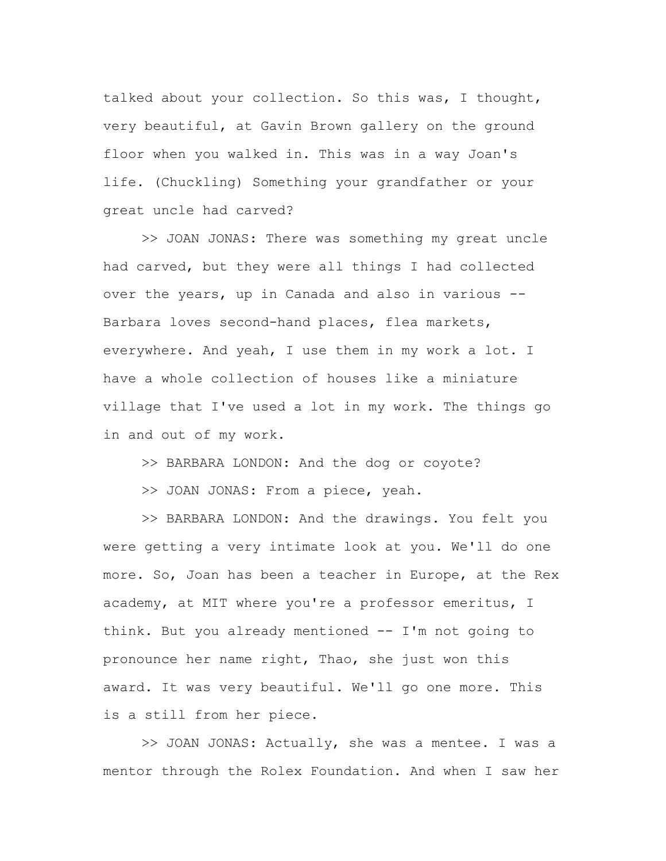talked about your collection. So this was, I thought, very beautiful, at Gavin Brown gallery on the ground floor when you walked in. This was in a way Joan's life. (Chuckling) Something your grandfather or your great uncle had carved?

>> JOAN JONAS: There was something my great uncle had carved, but they were all things I had collected over the years, up in Canada and also in various -- Barbara loves second-hand places, flea markets, everywhere. And yeah, I use them in my work a lot. I have a whole collection of houses like a miniature village that I've used a lot in my work. The things go in and out of my work.

>> BARBARA LONDON: And the dog or coyote?

>> JOAN JONAS: From a piece, yeah.

>> BARBARA LONDON: And the drawings. You felt you were getting a very intimate look at you. We'll do one more. So, Joan has been a teacher in Europe, at the Rex academy, at MIT where you're a professor emeritus, I think. But you already mentioned -- I'm not going to pronounce her name right, Thao, she just won this award. It was very beautiful. We'll go one more. This is a still from her piece.

>> JOAN JONAS: Actually, she was a mentee. I was a mentor through the Rolex Foundation. And when I saw her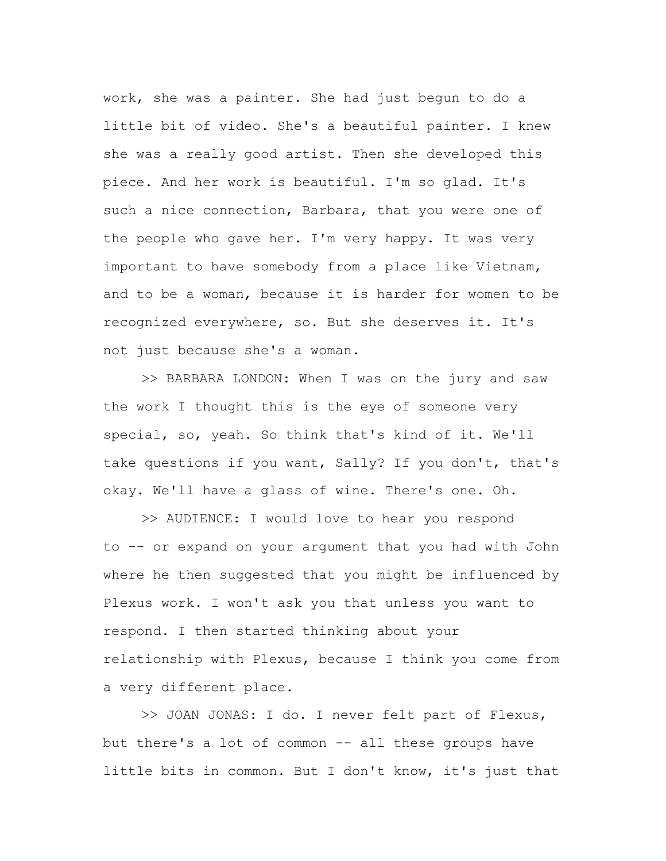work, she was a painter. She had just begun to do a little bit of video. She's a beautiful painter. I knew she was a really good artist. Then she developed this piece. And her work is beautiful. I'm so glad. It's such a nice connection, Barbara, that you were one of the people who gave her. I'm very happy. It was very important to have somebody from a place like Vietnam, and to be a woman, because it is harder for women to be recognized everywhere, so. But she deserves it. It's not just because she's a woman.

>> BARBARA LONDON: When I was on the jury and saw the work I thought this is the eye of someone very special, so, yeah. So think that's kind of it. We'll take questions if you want, Sally? If you don't, that's okay. We'll have a glass of wine. There's one. Oh.

>> AUDIENCE: I would love to hear you respond to -- or expand on your argument that you had with John where he then suggested that you might be influenced by Plexus work. I won't ask you that unless you want to respond. I then started thinking about your relationship with Plexus, because I think you come from a very different place.

>> JOAN JONAS: I do. I never felt part of Flexus, but there's a lot of common -- all these groups have little bits in common. But I don't know, it's just that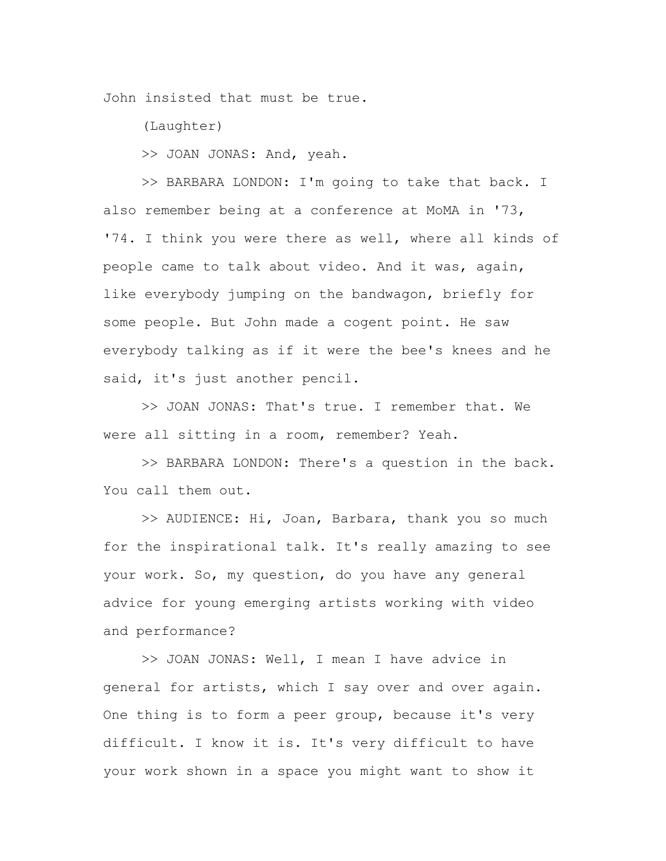John insisted that must be true.

(Laughter)

>> JOAN JONAS: And, yeah.

>> BARBARA LONDON: I'm going to take that back. I also remember being at a conference at MoMA in '73, '74. I think you were there as well, where all kinds of people came to talk about video. And it was, again, like everybody jumping on the bandwagon, briefly for some people. But John made a cogent point. He saw everybody talking as if it were the bee's knees and he said, it's just another pencil.

>> JOAN JONAS: That's true. I remember that. We were all sitting in a room, remember? Yeah.

>> BARBARA LONDON: There's a question in the back. You call them out.

>> AUDIENCE: Hi, Joan, Barbara, thank you so much for the inspirational talk. It's really amazing to see your work. So, my question, do you have any general advice for young emerging artists working with video and performance?

>> JOAN JONAS: Well, I mean I have advice in general for artists, which I say over and over again. One thing is to form a peer group, because it's very difficult. I know it is. It's very difficult to have your work shown in a space you might want to show it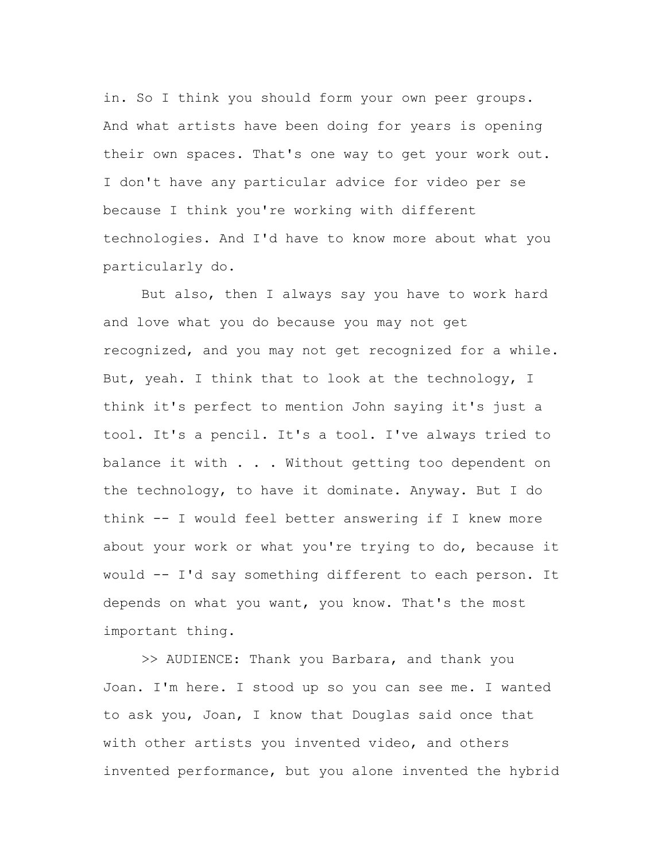in. So I think you should form your own peer groups. And what artists have been doing for years is opening their own spaces. That's one way to get your work out. I don't have any particular advice for video per se because I think you're working with different technologies. And I'd have to know more about what you particularly do.

But also, then I always say you have to work hard and love what you do because you may not get recognized, and you may not get recognized for a while. But, yeah. I think that to look at the technology, I think it's perfect to mention John saying it's just a tool. It's a pencil. It's a tool. I've always tried to balance it with . . . Without getting too dependent on the technology, to have it dominate. Anyway. But I do think -- I would feel better answering if I knew more about your work or what you're trying to do, because it would -- I'd say something different to each person. It depends on what you want, you know. That's the most important thing.

>> AUDIENCE: Thank you Barbara, and thank you Joan. I'm here. I stood up so you can see me. I wanted to ask you, Joan, I know that Douglas said once that with other artists you invented video, and others invented performance, but you alone invented the hybrid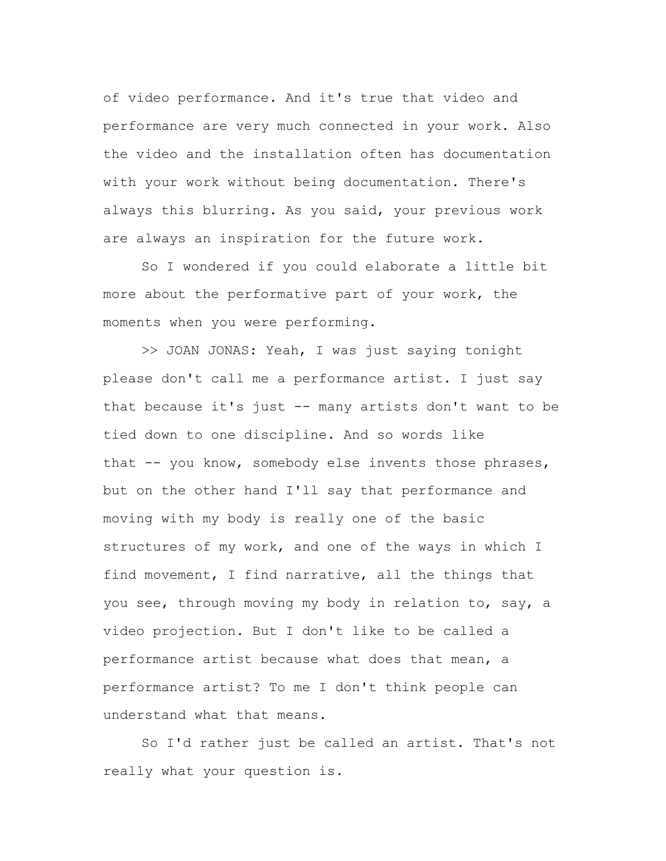of video performance. And it's true that video and performance are very much connected in your work. Also the video and the installation often has documentation with your work without being documentation. There's always this blurring. As you said, your previous work are always an inspiration for the future work.

So I wondered if you could elaborate a little bit more about the performative part of your work, the moments when you were performing.

>> JOAN JONAS: Yeah, I was just saying tonight please don't call me a performance artist. I just say that because it's just -- many artists don't want to be tied down to one discipline. And so words like that -- you know, somebody else invents those phrases, but on the other hand I'll say that performance and moving with my body is really one of the basic structures of my work, and one of the ways in which I find movement, I find narrative, all the things that you see, through moving my body in relation to, say, a video projection. But I don't like to be called a performance artist because what does that mean, a performance artist? To me I don't think people can understand what that means.

So I'd rather just be called an artist. That's not really what your question is.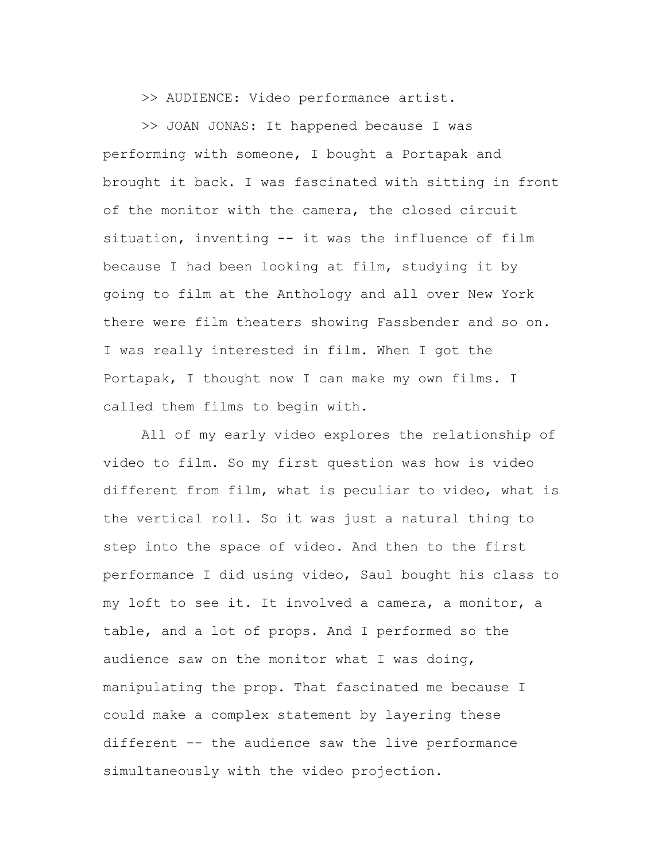>> AUDIENCE: Video performance artist.

>> JOAN JONAS: It happened because I was performing with someone, I bought a Portapak and brought it back. I was fascinated with sitting in front of the monitor with the camera, the closed circuit situation, inventing -- it was the influence of film because I had been looking at film, studying it by going to film at the Anthology and all over New York there were film theaters showing Fassbender and so on. I was really interested in film. When I got the Portapak, I thought now I can make my own films. I called them films to begin with.

All of my early video explores the relationship of video to film. So my first question was how is video different from film, what is peculiar to video, what is the vertical roll. So it was just a natural thing to step into the space of video. And then to the first performance I did using video, Saul bought his class to my loft to see it. It involved a camera, a monitor, a table, and a lot of props. And I performed so the audience saw on the monitor what I was doing, manipulating the prop. That fascinated me because I could make a complex statement by layering these different -- the audience saw the live performance simultaneously with the video projection.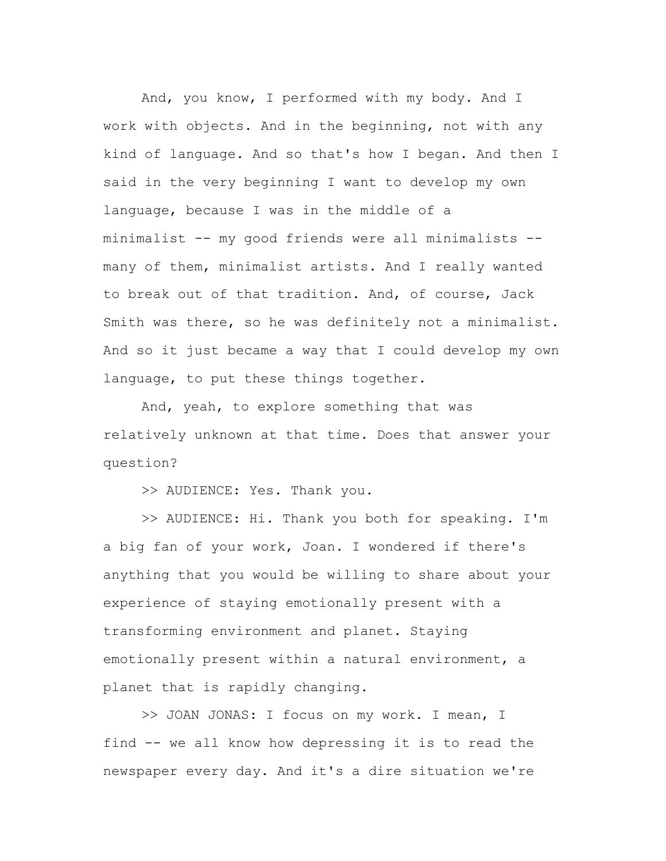And, you know, I performed with my body. And I work with objects. And in the beginning, not with any kind of language. And so that's how I began. And then I said in the very beginning I want to develop my own language, because I was in the middle of a minimalist -- my good friends were all minimalists - many of them, minimalist artists. And I really wanted to break out of that tradition. And, of course, Jack Smith was there, so he was definitely not a minimalist. And so it just became a way that I could develop my own language, to put these things together.

And, yeah, to explore something that was relatively unknown at that time. Does that answer your question?

>> AUDIENCE: Yes. Thank you.

>> AUDIENCE: Hi. Thank you both for speaking. I'm a big fan of your work, Joan. I wondered if there's anything that you would be willing to share about your experience of staying emotionally present with a transforming environment and planet. Staying emotionally present within a natural environment, a planet that is rapidly changing.

>> JOAN JONAS: I focus on my work. I mean, I find -- we all know how depressing it is to read the newspaper every day. And it's a dire situation we're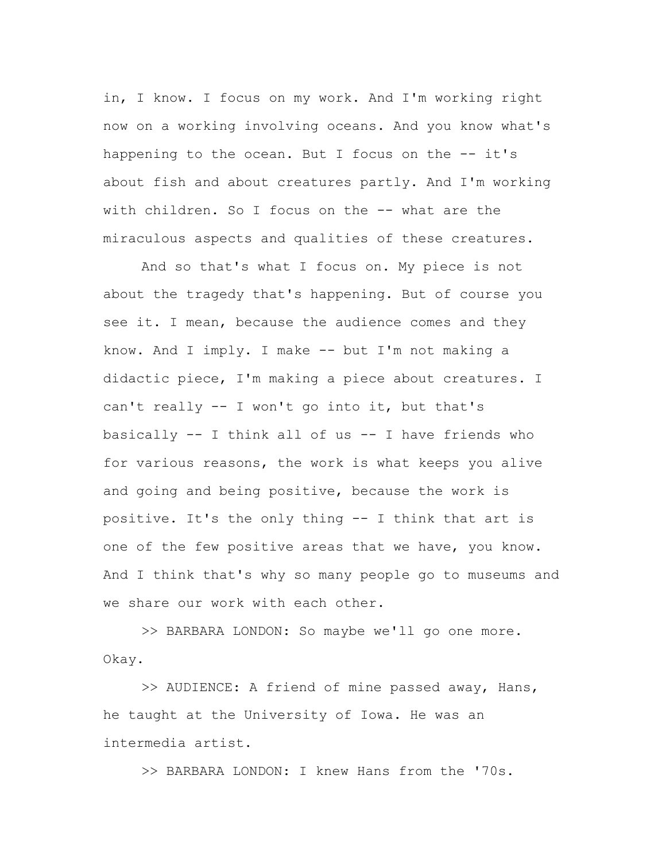in, I know. I focus on my work. And I'm working right now on a working involving oceans. And you know what's happening to the ocean. But I focus on the  $-$  it's about fish and about creatures partly. And I'm working with children. So I focus on the -- what are the miraculous aspects and qualities of these creatures.

And so that's what I focus on. My piece is not about the tragedy that's happening. But of course you see it. I mean, because the audience comes and they know. And I imply. I make -- but I'm not making a didactic piece, I'm making a piece about creatures. I can't really -- I won't go into it, but that's basically -- I think all of us -- I have friends who for various reasons, the work is what keeps you alive and going and being positive, because the work is positive. It's the only thing -- I think that art is one of the few positive areas that we have, you know. And I think that's why so many people go to museums and we share our work with each other.

>> BARBARA LONDON: So maybe we'll go one more. Okay.

>> AUDIENCE: A friend of mine passed away, Hans, he taught at the University of Iowa. He was an intermedia artist.

>> BARBARA LONDON: I knew Hans from the '70s.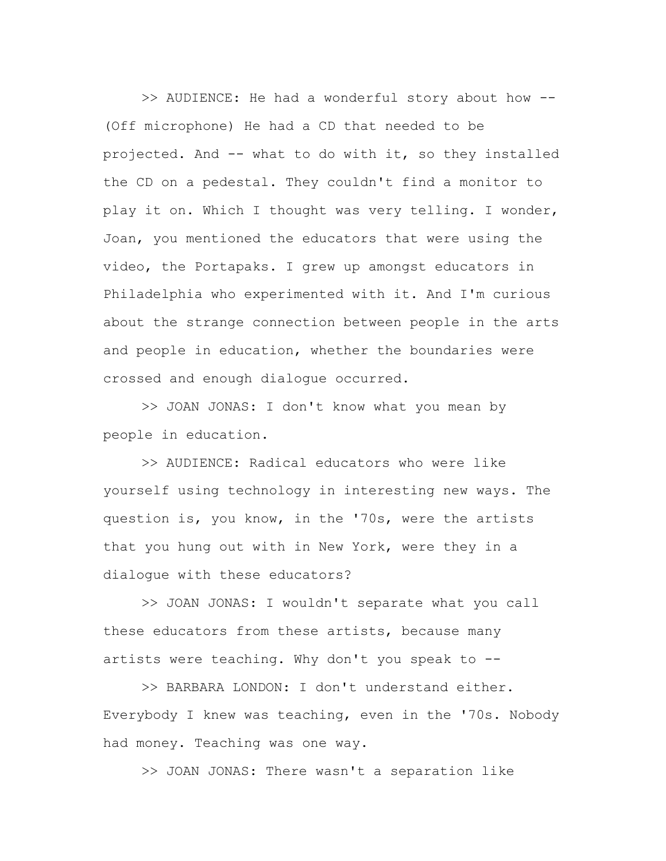>> AUDIENCE: He had a wonderful story about how -- (Off microphone) He had a CD that needed to be projected. And -- what to do with it, so they installed the CD on a pedestal. They couldn't find a monitor to play it on. Which I thought was very telling. I wonder, Joan, you mentioned the educators that were using the video, the Portapaks. I grew up amongst educators in Philadelphia who experimented with it. And I'm curious about the strange connection between people in the arts and people in education, whether the boundaries were crossed and enough dialogue occurred.

>> JOAN JONAS: I don't know what you mean by people in education.

>> AUDIENCE: Radical educators who were like yourself using technology in interesting new ways. The question is, you know, in the '70s, were the artists that you hung out with in New York, were they in a dialogue with these educators?

>> JOAN JONAS: I wouldn't separate what you call these educators from these artists, because many artists were teaching. Why don't you speak to  $-$ -

>> BARBARA LONDON: I don't understand either. Everybody I knew was teaching, even in the '70s. Nobody had money. Teaching was one way.

>> JOAN JONAS: There wasn't a separation like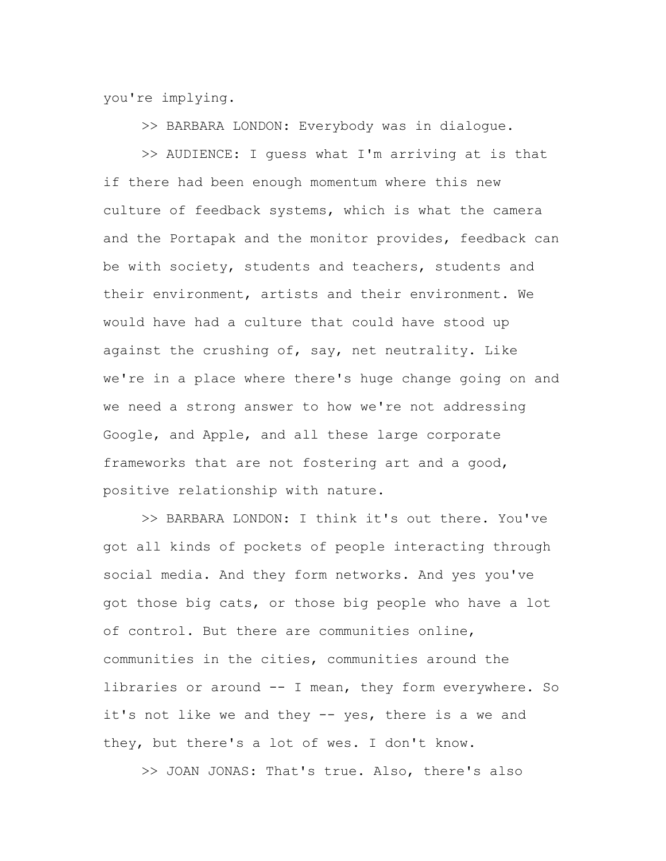you're implying.

>> BARBARA LONDON: Everybody was in dialogue.

>> AUDIENCE: I guess what I'm arriving at is that if there had been enough momentum where this new culture of feedback systems, which is what the camera and the Portapak and the monitor provides, feedback can be with society, students and teachers, students and their environment, artists and their environment. We would have had a culture that could have stood up against the crushing of, say, net neutrality. Like we're in a place where there's huge change going on and we need a strong answer to how we're not addressing Google, and Apple, and all these large corporate frameworks that are not fostering art and a good, positive relationship with nature.

>> BARBARA LONDON: I think it's out there. You've got all kinds of pockets of people interacting through social media. And they form networks. And yes you've got those big cats, or those big people who have a lot of control. But there are communities online, communities in the cities, communities around the libraries or around -- I mean, they form everywhere. So it's not like we and they -- yes, there is a we and they, but there's a lot of wes. I don't know.

>> JOAN JONAS: That's true. Also, there's also